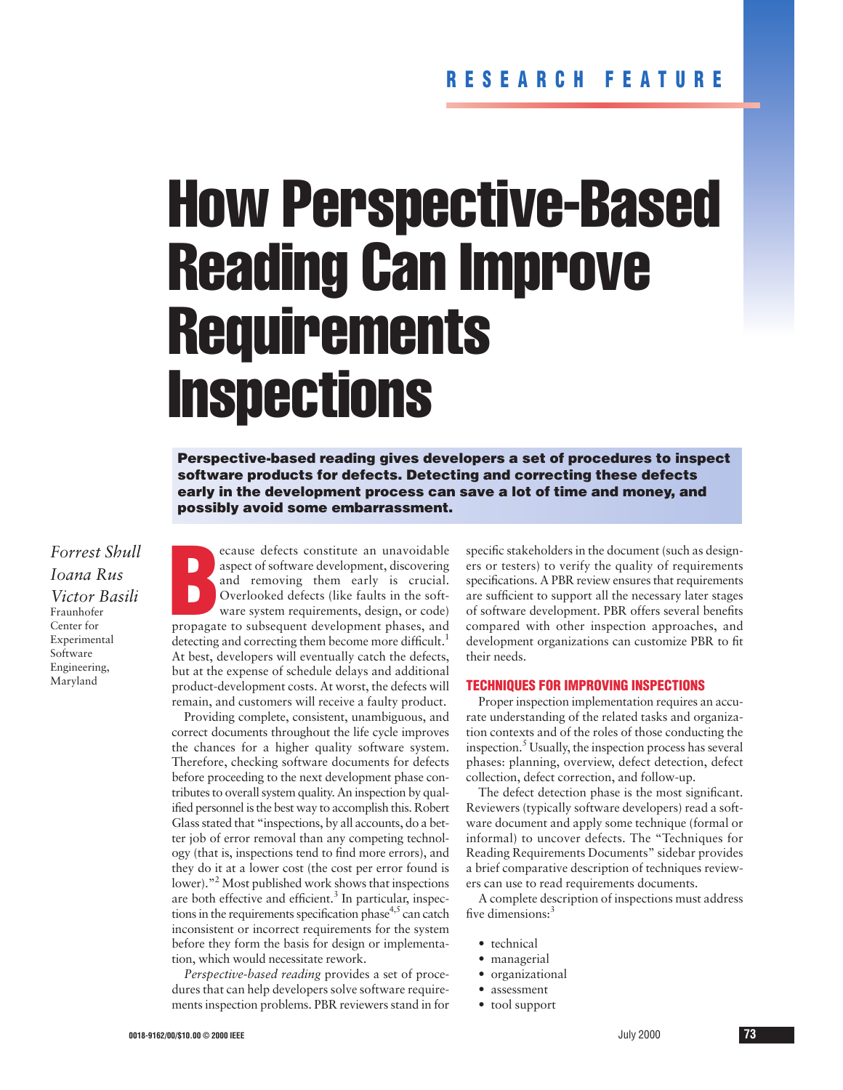# How Perspective-Based Reading Can Improve **Requirements Inspections**

**Perspective-based reading gives developers a set of procedures to inspect software products for defects. Detecting and correcting these defects early in the development process can save a lot of time and money, and possibly avoid some embarrassment.**

*Forrest Shull Ioana Rus Victor Basili* Fraunhofer Center for Experimental Software Engineering, Maryland

**B** propagate to subsequent development phases, and ecause defects constitute an unavoidable aspect of software development, discovering and removing them early is crucial. Overlooked defects (like faults in the software system requirements, design, or code) detecting and correcting them become more difficult.<sup>1</sup> At best, developers will eventually catch the defects, but at the expense of schedule delays and additional product-development costs. At worst, the defects will remain, and customers will receive a faulty product.

Providing complete, consistent, unambiguous, and correct documents throughout the life cycle improves the chances for a higher quality software system. Therefore, checking software documents for defects before proceeding to the next development phase contributes to overall system quality. An inspection by qualified personnel is the best way to accomplish this. Robert Glass stated that "inspections, by all accounts, do a better job of error removal than any competing technology (that is, inspections tend to find more errors), and they do it at a lower cost (the cost per error found is lower)."<sup>2</sup> Most published work shows that inspections are both effective and efficient.<sup>3</sup> In particular, inspections in the requirements specification phase<sup> $4,5$ </sup> can catch inconsistent or incorrect requirements for the system before they form the basis for design or implementation, which would necessitate rework.

*Perspective-based reading* provides a set of procedures that can help developers solve software requirements inspection problems. PBR reviewers stand in for

specific stakeholders in the document (such as designers or testers) to verify the quality of requirements specifications. A PBR review ensures that requirements are sufficient to support all the necessary later stages of software development. PBR offers several benefits compared with other inspection approaches, and development organizations can customize PBR to fit their needs.

# **TECHNIQUES FOR IMPROVING INSPECTIONS**

Proper inspection implementation requires an accurate understanding of the related tasks and organization contexts and of the roles of those conducting the inspection.<sup>5</sup> Usually, the inspection process has several phases: planning, overview, defect detection, defect collection, defect correction, and follow-up.

The defect detection phase is the most significant. Reviewers (typically software developers) read a software document and apply some technique (formal or informal) to uncover defects. The "Techniques for Reading Requirements Documents" sidebar provides a brief comparative description of techniques reviewers can use to read requirements documents.

A complete description of inspections must address five dimensions:<sup>3</sup>

- technical
- managerial
- organizational
- assessment
- tool support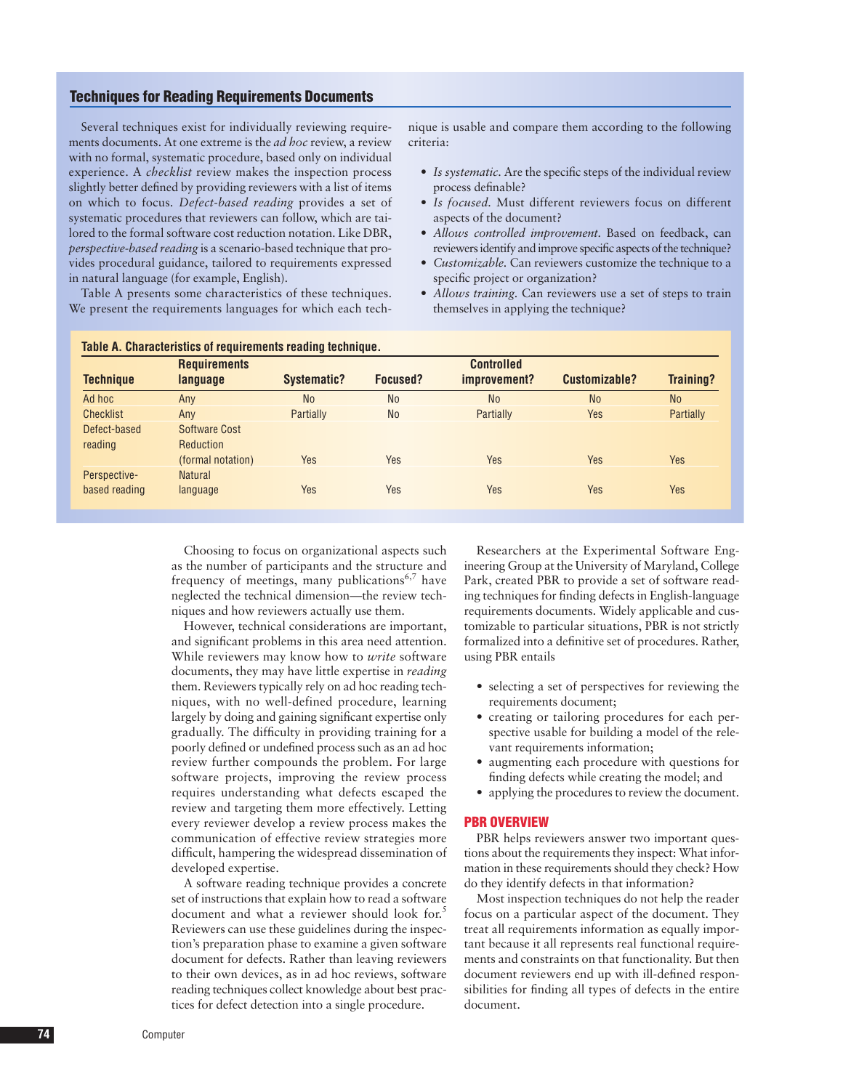## **Techniques for Reading Requirements Documents**

Several techniques exist for individually reviewing requirements documents. At one extreme is the *ad hoc* review, a review with no formal, systematic procedure, based only on individual experience. A *checklist* review makes the inspection process slightly better defined by providing reviewers with a list of items on which to focus. *Defect-based reading* provides a set of systematic procedures that reviewers can follow, which are tailored to the formal software cost reduction notation. Like DBR, *perspective-based reading* is a scenario-based technique that provides procedural guidance, tailored to requirements expressed in natural language (for example, English).

Table A presents some characteristics of these techniques. We present the requirements languages for which each tech-

nique is usable and compare them according to the following criteria:

- *Is systematic.* Are the specific steps of the individual review process definable?
- Is focused. Must different reviewers focus on different aspects of the document?
- *Allows controlled improvement.* Based on feedback, can reviewers identify and improve specific aspects of the technique?
- *Customizable.* Can reviewers customize the technique to a specific project or organization?
- *Allows training.* Can reviewers use a set of steps to train themselves in applying the technique?

|                               | <b>Requirements</b>                                    |                    |                | <b>Controlled</b> |                      |                  |
|-------------------------------|--------------------------------------------------------|--------------------|----------------|-------------------|----------------------|------------------|
| <b>Technique</b>              | language                                               | <b>Systematic?</b> | Focused?       | improvement?      | <b>Customizable?</b> | <b>Training?</b> |
| Ad hoc                        | Any                                                    | <b>No</b>          | N <sub>0</sub> | <b>No</b>         | <b>No</b>            | <b>No</b>        |
| <b>Checklist</b>              | Any                                                    | Partially          | <b>No</b>      | Partially         | Yes                  | Partially        |
| Defect-based<br>reading       | Software Cost<br><b>Reduction</b><br>(formal notation) | Yes                | Yes            | Yes               | <b>Yes</b>           | Yes              |
| Perspective-<br>based reading | <b>Natural</b><br>language                             | Yes                | Yes            | Yes               | Yes                  | Yes              |

Choosing to focus on organizational aspects such as the number of participants and the structure and frequency of meetings, many publications<sup>6,7</sup> have neglected the technical dimension—the review techniques and how reviewers actually use them.

However, technical considerations are important, and significant problems in this area need attention. While reviewers may know how to *write* software documents, they may have little expertise in *reading* them. Reviewers typically rely on ad hoc reading techniques, with no well-defined procedure, learning largely by doing and gaining significant expertise only gradually. The difficulty in providing training for a poorly defined or undefined process such as an ad hoc review further compounds the problem. For large software projects, improving the review process requires understanding what defects escaped the review and targeting them more effectively. Letting every reviewer develop a review process makes the communication of effective review strategies more difficult, hampering the widespread dissemination of developed expertise.

A software reading technique provides a concrete set of instructions that explain how to read a software document and what a reviewer should look for.<sup>5</sup> Reviewers can use these guidelines during the inspection's preparation phase to examine a given software document for defects. Rather than leaving reviewers to their own devices, as in ad hoc reviews, software reading techniques collect knowledge about best practices for defect detection into a single procedure.

Researchers at the Experimental Software Engineering Group at the University of Maryland, College Park, created PBR to provide a set of software reading techniques for finding defects in English-language requirements documents. Widely applicable and customizable to particular situations, PBR is not strictly formalized into a definitive set of procedures. Rather, using PBR entails

- selecting a set of perspectives for reviewing the requirements document;
- creating or tailoring procedures for each perspective usable for building a model of the relevant requirements information;
- augmenting each procedure with questions for finding defects while creating the model; and
- applying the procedures to review the document.

## **PBR OVERVIEW**

PBR helps reviewers answer two important questions about the requirements they inspect: What information in these requirements should they check? How do they identify defects in that information?

Most inspection techniques do not help the reader focus on a particular aspect of the document. They treat all requirements information as equally important because it all represents real functional requirements and constraints on that functionality. But then document reviewers end up with ill-defined responsibilities for finding all types of defects in the entire document.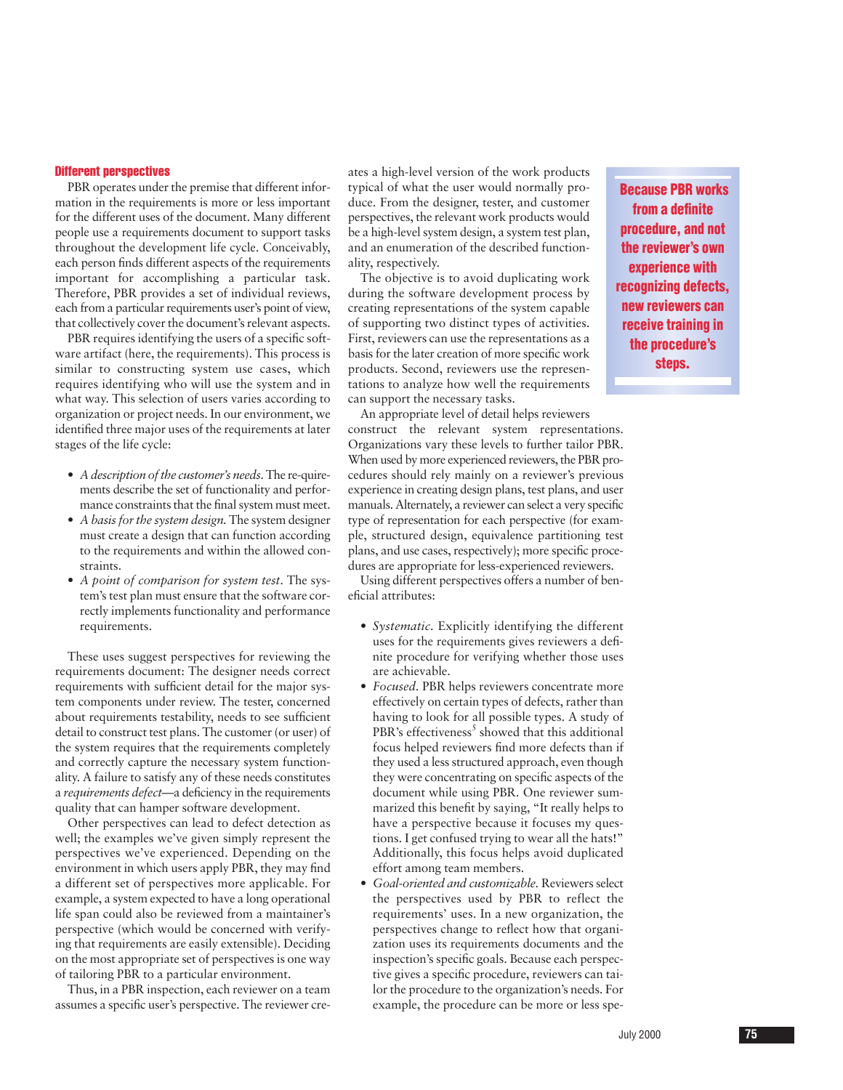## Different perspectives

PBR operates under the premise that different information in the requirements is more or less important for the different uses of the document. Many different people use a requirements document to support tasks throughout the development life cycle. Conceivably, each person finds different aspects of the requirements important for accomplishing a particular task. Therefore, PBR provides a set of individual reviews, each from a particular requirements user's point of view, that collectively cover the document's relevant aspects.

PBR requires identifying the users of a specific software artifact (here, the requirements). This process is similar to constructing system use cases, which requires identifying who will use the system and in what way. This selection of users varies according to organization or project needs. In our environment, we identified three major uses of the requirements at later stages of the life cycle:

- *A description of the customer's needs*. The re-quirements describe the set of functionality and performance constraints that the final system must meet.
- *A basis for the system design.* The system designer must create a design that can function according to the requirements and within the allowed constraints.
- *A point of comparison for system test*. The system's test plan must ensure that the software correctly implements functionality and performance requirements.

These uses suggest perspectives for reviewing the requirements document: The designer needs correct requirements with sufficient detail for the major system components under review. The tester, concerned about requirements testability, needs to see sufficient detail to construct test plans. The customer (or user) of the system requires that the requirements completely and correctly capture the necessary system functionality. A failure to satisfy any of these needs constitutes a *requirements defect*—a deficiency in the requirements quality that can hamper software development.

Other perspectives can lead to defect detection as well; the examples we've given simply represent the perspectives we've experienced. Depending on the environment in which users apply PBR, they may find a different set of perspectives more applicable. For example, a system expected to have a long operational life span could also be reviewed from a maintainer's perspective (which would be concerned with verifying that requirements are easily extensible). Deciding on the most appropriate set of perspectives is one way of tailoring PBR to a particular environment.

Thus, in a PBR inspection, each reviewer on a team assumes a specific user's perspective. The reviewer creates a high-level version of the work products typical of what the user would normally produce. From the designer, tester, and customer perspectives, the relevant work products would be a high-level system design, a system test plan, and an enumeration of the described functionality, respectively.

The objective is to avoid duplicating work during the software development process by creating representations of the system capable of supporting two distinct types of activities. First, reviewers can use the representations as a basis for the later creation of more specific work products. Second, reviewers use the representations to analyze how well the requirements can support the necessary tasks.

An appropriate level of detail helps reviewers construct the relevant system representations. Organizations vary these levels to further tailor PBR. When used by more experienced reviewers, the PBR procedures should rely mainly on a reviewer's previous experience in creating design plans, test plans, and user manuals. Alternately, a reviewer can select a very specific type of representation for each perspective (for example, structured design, equivalence partitioning test plans, and use cases, respectively); more specific procedures are appropriate for less-experienced reviewers.

Using different perspectives offers a number of beneficial attributes:

- *Systematic.* Explicitly identifying the different uses for the requirements gives reviewers a definite procedure for verifying whether those uses are achievable.
- *Focused.* PBR helps reviewers concentrate more effectively on certain types of defects, rather than having to look for all possible types. A study of PBR's effectiveness<sup>5</sup> showed that this additional focus helped reviewers find more defects than if they used a less structured approach, even though they were concentrating on specific aspects of the document while using PBR. One reviewer summarized this benefit by saying, "It really helps to have a perspective because it focuses my questions. I get confused trying to wear all the hats!" Additionally, this focus helps avoid duplicated effort among team members.
- *Goal-oriented and customizable.* Reviewers select the perspectives used by PBR to reflect the requirements' uses. In a new organization, the perspectives change to reflect how that organization uses its requirements documents and the inspection's specific goals. Because each perspective gives a specific procedure, reviewers can tailor the procedure to the organization's needs. For example, the procedure can be more or less spe-

**Because PBR works from a definite procedure, and not the reviewer's own experience with recognizing defects, new reviewers can receive training in the procedure's steps.**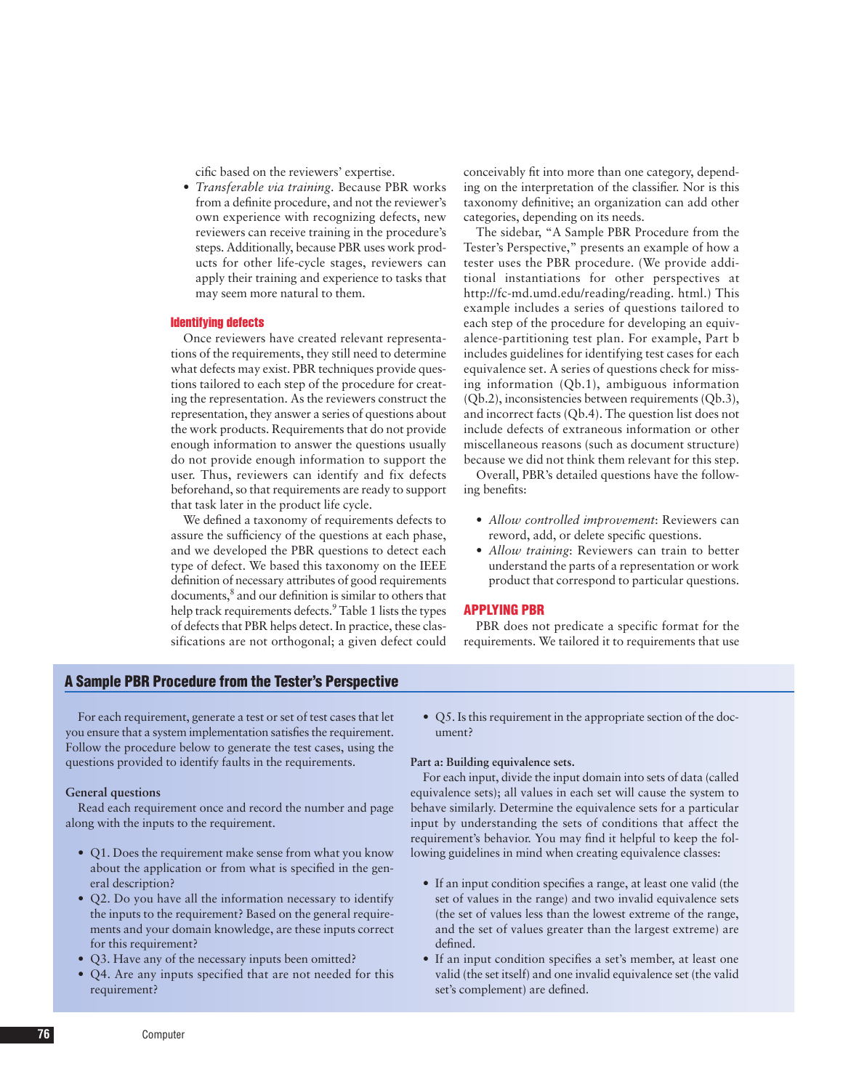cific based on the reviewers' expertise.

• *Transferable via training.* Because PBR works from a definite procedure, and not the reviewer's own experience with recognizing defects, new reviewers can receive training in the procedure's steps. Additionally, because PBR uses work products for other life-cycle stages, reviewers can apply their training and experience to tasks that may seem more natural to them.

## Identifying defects

Once reviewers have created relevant representations of the requirements, they still need to determine what defects may exist. PBR techniques provide questions tailored to each step of the procedure for creating the representation. As the reviewers construct the representation, they answer a series of questions about the work products. Requirements that do not provide enough information to answer the questions usually do not provide enough information to support the user. Thus, reviewers can identify and fix defects beforehand, so that requirements are ready to support that task later in the product life cycle.

We defined a taxonomy of requirements defects to assure the sufficiency of the questions at each phase, and we developed the PBR questions to detect each type of defect. We based this taxonomy on the IEEE definition of necessary attributes of good requirements documents,<sup>8</sup> and our definition is similar to others that help track requirements defects.<sup>9</sup> Table 1 lists the types of defects that PBR helps detect. In practice, these classifications are not orthogonal; a given defect could

conceivably fit into more than one category, depending on the interpretation of the classifier. Nor is this taxonomy definitive; an organization can add other categories, depending on its needs.

The sidebar, "A Sample PBR Procedure from the Tester's Perspective," presents an example of how a tester uses the PBR procedure. (We provide additional instantiations for other perspectives at http://fc-md.umd.edu/reading/reading. html.) This example includes a series of questions tailored to each step of the procedure for developing an equivalence-partitioning test plan. For example, Part b includes guidelines for identifying test cases for each equivalence set. A series of questions check for missing information (Qb.1), ambiguous information (Qb.2), inconsistencies between requirements (Qb.3), and incorrect facts (Qb.4). The question list does not include defects of extraneous information or other miscellaneous reasons (such as document structure) because we did not think them relevant for this step.

Overall, PBR's detailed questions have the following benefits:

- *Allow controlled improvement*: Reviewers can reword, add, or delete specific questions.
- *Allow training*: Reviewers can train to better understand the parts of a representation or work product that correspond to particular questions.

# **APPLYING PBR**

PBR does not predicate a specific format for the requirements. We tailored it to requirements that use

# **A Sample PBR Procedure from the Tester's Perspective**

For each requirement, generate a test or set of test cases that let you ensure that a system implementation satisfies the requirement. Follow the procedure below to generate the test cases, using the questions provided to identify faults in the requirements.

## **General questions**

Read each requirement once and record the number and page along with the inputs to the requirement.

- Q1. Does the requirement make sense from what you know about the application or from what is specified in the general description?
- Q2. Do you have all the information necessary to identify the inputs to the requirement? Based on the general requirements and your domain knowledge, are these inputs correct for this requirement?
- Q3. Have any of the necessary inputs been omitted?
- Q4. Are any inputs specified that are not needed for this requirement?

• Q5. Is this requirement in the appropriate section of the document?

## **Part a: Building equivalence sets.**

For each input, divide the input domain into sets of data (called equivalence sets); all values in each set will cause the system to behave similarly. Determine the equivalence sets for a particular input by understanding the sets of conditions that affect the requirement's behavior. You may find it helpful to keep the following guidelines in mind when creating equivalence classes:

- If an input condition specifies a range, at least one valid (the set of values in the range) and two invalid equivalence sets (the set of values less than the lowest extreme of the range, and the set of values greater than the largest extreme) are defined.
- If an input condition specifies a set's member, at least one valid (the set itself) and one invalid equivalence set (the valid set's complement) are defined.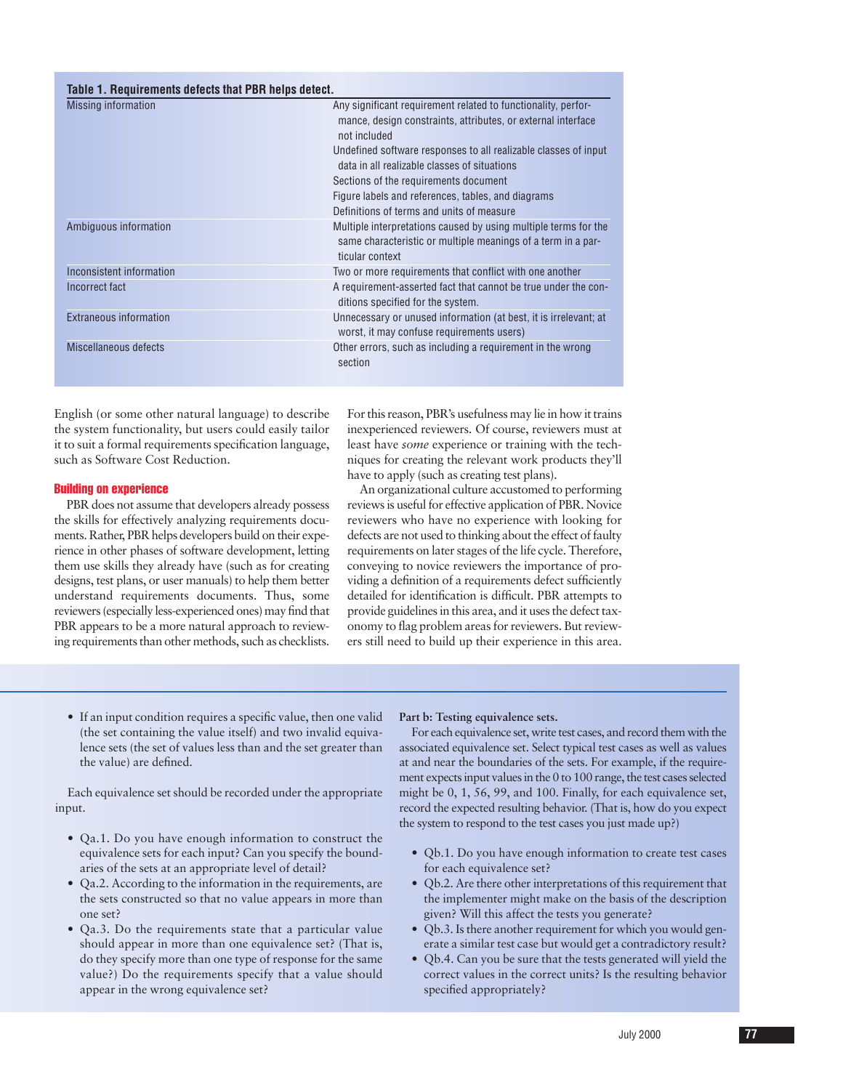| <b>Missing information</b>    | Any significant requirement related to functionality, perfor-<br>mance, design constraints, attributes, or external interface<br>not included            |
|-------------------------------|----------------------------------------------------------------------------------------------------------------------------------------------------------|
|                               | Undefined software responses to all realizable classes of input<br>data in all realizable classes of situations<br>Sections of the requirements document |
|                               | Figure labels and references, tables, and diagrams<br>Definitions of terms and units of measure                                                          |
| Ambiguous information         | Multiple interpretations caused by using multiple terms for the<br>same characteristic or multiple meanings of a term in a par-<br>ticular context       |
| Inconsistent information      | Two or more requirements that conflict with one another                                                                                                  |
| Incorrect fact                | A requirement-asserted fact that cannot be true under the con-<br>ditions specified for the system.                                                      |
| <b>Extraneous information</b> | Unnecessary or unused information (at best, it is irrelevant; at<br>worst, it may confuse requirements users)                                            |
| Miscellaneous defects         | Other errors, such as including a requirement in the wrong<br>section                                                                                    |

English (or some other natural language) to describe the system functionality, but users could easily tailor it to suit a formal requirements specification language, such as Software Cost Reduction.

## Building on experience

PBR does not assume that developers already possess the skills for effectively analyzing requirements documents. Rather, PBR helps developers build on their experience in other phases of software development, letting them use skills they already have (such as for creating designs, test plans, or user manuals) to help them better understand requirements documents. Thus, some reviewers (especially less-experienced ones) may find that PBR appears to be a more natural approach to reviewing requirements than other methods, such as checklists. For this reason, PBR's usefulness may lie in how it trains inexperienced reviewers. Of course, reviewers must at least have *some* experience or training with the techniques for creating the relevant work products they'll have to apply (such as creating test plans).

An organizational culture accustomed to performing reviews is useful for effective application of PBR. Novice reviewers who have no experience with looking for defects are not used to thinking about the effect of faulty requirements on later stages of the life cycle. Therefore, conveying to novice reviewers the importance of providing a definition of a requirements defect sufficiently detailed for identification is difficult. PBR attempts to provide guidelines in this area, and it uses the defect taxonomy to flag problem areas for reviewers. But reviewers still need to build up their experience in this area.

• If an input condition requires a specific value, then one valid (the set containing the value itself) and two invalid equivalence sets (the set of values less than and the set greater than the value) are defined.

Each equivalence set should be recorded under the appropriate input.

- Qa.1. Do you have enough information to construct the equivalence sets for each input? Can you specify the boundaries of the sets at an appropriate level of detail?
- Qa.2. According to the information in the requirements, are the sets constructed so that no value appears in more than one set?
- Qa.3. Do the requirements state that a particular value should appear in more than one equivalence set? (That is, do they specify more than one type of response for the same value?) Do the requirements specify that a value should appear in the wrong equivalence set?

## **Part b: Testing equivalence sets.**

For each equivalence set, write test cases, and record them with the associated equivalence set. Select typical test cases as well as values at and near the boundaries of the sets. For example, if the requirement expects input values in the 0 to 100 range, the test cases selected might be 0, 1, 56, 99, and 100. Finally, for each equivalence set, record the expected resulting behavior. (That is, how do you expect the system to respond to the test cases you just made up?)

- Qb.1. Do you have enough information to create test cases for each equivalence set?
- Qb.2. Are there other interpretations of this requirement that the implementer might make on the basis of the description given? Will this affect the tests you generate?
- Qb.3. Is there another requirement for which you would generate a similar test case but would get a contradictory result?
- Qb.4. Can you be sure that the tests generated will yield the correct values in the correct units? Is the resulting behavior specified appropriately?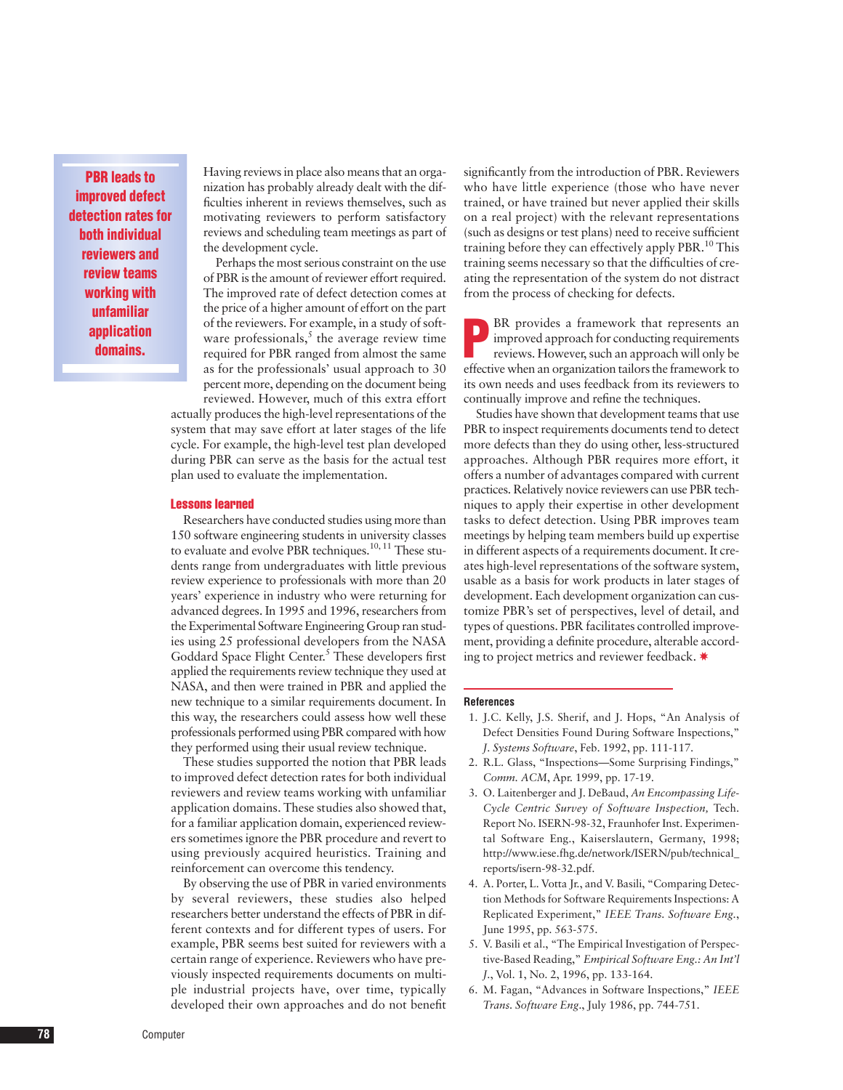**PBR leads to improved defect detection rates for both individual reviewers and review teams working with unfamiliar application domains.**

Having reviews in place also means that an organization has probably already dealt with the difficulties inherent in reviews themselves, such as motivating reviewers to perform satisfactory reviews and scheduling team meetings as part of the development cycle.

Perhaps the most serious constraint on the use of PBR is the amount of reviewer effort required. The improved rate of defect detection comes at the price of a higher amount of effort on the part of the reviewers. For example, in a study of software professionals, $\delta$  the average review time required for PBR ranged from almost the same as for the professionals' usual approach to 30 percent more, depending on the document being reviewed. However, much of this extra effort actually produces the high-level representations of the

system that may save effort at later stages of the life cycle. For example, the high-level test plan developed during PBR can serve as the basis for the actual test plan used to evaluate the implementation.

#### Lessons learned

Researchers have conducted studies using more than 150 software engineering students in university classes to evaluate and evolve PBR techniques.<sup>10, 11</sup> These students range from undergraduates with little previous review experience to professionals with more than 20 years' experience in industry who were returning for advanced degrees. In 1995 and 1996, researchers from the Experimental Software Engineering Group ran studies using 25 professional developers from the NASA Goddard Space Flight Center.<sup>5</sup> These developers first applied the requirements review technique they used at NASA, and then were trained in PBR and applied the new technique to a similar requirements document. In this way, the researchers could assess how well these professionals performed using PBR compared with how they performed using their usual review technique.

These studies supported the notion that PBR leads to improved defect detection rates for both individual reviewers and review teams working with unfamiliar application domains. These studies also showed that, for a familiar application domain, experienced reviewers sometimes ignore the PBR procedure and revert to using previously acquired heuristics. Training and reinforcement can overcome this tendency.

By observing the use of PBR in varied environments by several reviewers, these studies also helped researchers better understand the effects of PBR in different contexts and for different types of users. For example, PBR seems best suited for reviewers with a certain range of experience. Reviewers who have previously inspected requirements documents on multiple industrial projects have, over time, typically developed their own approaches and do not benefit

significantly from the introduction of PBR. Reviewers who have little experience (those who have never trained, or have trained but never applied their skills on a real project) with the relevant representations (such as designs or test plans) need to receive sufficient training before they can effectively apply PBR.<sup>10</sup> This training seems necessary so that the difficulties of creating the representation of the system do not distract from the process of checking for defects.

**P** BR provides a framework that represents an improved approach for conducting requirements reviews. However, such an approach will only be improved approach for conducting requirements reviews. However, such an approach will only be effective when an organization tailors the framework to its own needs and uses feedback from its reviewers to continually improve and refine the techniques.

Studies have shown that development teams that use PBR to inspect requirements documents tend to detect more defects than they do using other, less-structured approaches. Although PBR requires more effort, it offers a number of advantages compared with current practices. Relatively novice reviewers can use PBR techniques to apply their expertise in other development tasks to defect detection. Using PBR improves team meetings by helping team members build up expertise in different aspects of a requirements document. It creates high-level representations of the software system, usable as a basis for work products in later stages of development. Each development organization can customize PBR's set of perspectives, level of detail, and types of questions. PBR facilitates controlled improvement, providing a definite procedure, alterable according to project metrics and reviewer feedback.  $*$ 

## **References**

- 1. J.C. Kelly, J.S. Sherif, and J. Hops, "An Analysis of Defect Densities Found During Software Inspections," *J. Systems Software*, Feb. 1992, pp. 111-117.
- 2. R.L. Glass, "Inspections—Some Surprising Findings," *Comm. ACM*, Apr. 1999, pp. 17-19.
- 3. O. Laitenberger and J. DeBaud, *An Encompassing Life-Cycle Centric Survey of Software Inspection,* Tech. Report No. ISERN-98-32, Fraunhofer Inst. Experimental Software Eng., Kaiserslautern, Germany, 1998; http://www.iese.fhg.de/network/ISERN/pub/technical\_ reports/isern-98-32.pdf.
- 4. A. Porter, L. Votta Jr., and V. Basili, "Comparing Detection Methods for Software Requirements Inspections: A Replicated Experiment," *IEEE Trans. Software Eng.*, June 1995, pp. 563-575.
- 5. V. Basili et al., "The Empirical Investigation of Perspective-Based Reading," *Empirical Software Eng.: An Int'l J.*, Vol. 1, No. 2, 1996, pp. 133-164.
- 6. M. Fagan, "Advances in Software Inspections," *IEEE Trans. Software Eng*., July 1986, pp. 744-751.